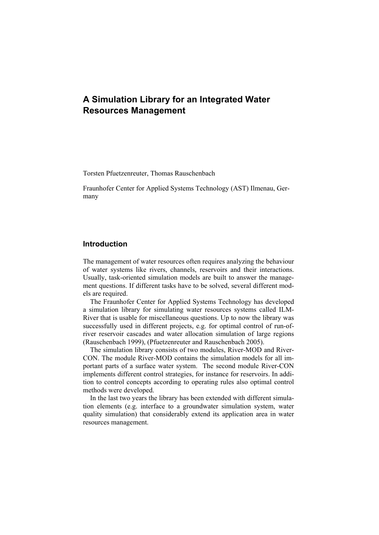# **A Simulation Library for an Integrated Water Resources Management**

Torsten Pfuetzenreuter, Thomas Rauschenbach

Fraunhofer Center for Applied Systems Technology (AST) Ilmenau, Germany

## **Introduction**

The management of water resources often requires analyzing the behaviour of water systems like rivers, channels, reservoirs and their interactions. Usually, task-oriented simulation models are built to answer the management questions. If different tasks have to be solved, several different models are required.

The Fraunhofer Center for Applied Systems Technology has developed a simulation library for simulating water resources systems called ILM-River that is usable for miscellaneous questions. Up to now the library was successfully used in different projects, e.g. for optimal control of run-ofriver reservoir cascades and water allocation simulation of large regions (Rauschenbach 1999), (Pfuetzenreuter and Rauschenbach 2005).

The simulation library consists of two modules, River-MOD and River-CON. The module River-MOD contains the simulation models for all important parts of a surface water system. The second module River-CON implements different control strategies, for instance for reservoirs. In addition to control concepts according to operating rules also optimal control methods were developed.

In the last two years the library has been extended with different simulation elements (e.g. interface to a groundwater simulation system, water quality simulation) that considerably extend its application area in water resources management.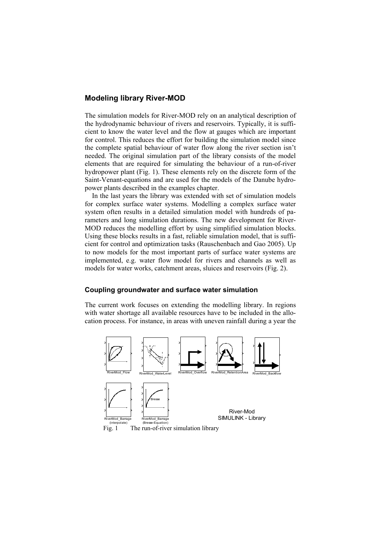### **Modeling library River-MOD**

The simulation models for River-MOD rely on an analytical description of the hydrodynamic behaviour of rivers and reservoirs. Typically, it is sufficient to know the water level and the flow at gauges which are important for control. This reduces the effort for building the simulation model since the complete spatial behaviour of water flow along the river section isn't needed. The original simulation part of the library consists of the model elements that are required for simulating the behaviour of a run-of-river hydropower plant (Fig. 1). These elements rely on the discrete form of the Saint-Venant-equations and are used for the models of the Danube hydropower plants described in the examples chapter.

In the last years the library was extended with set of simulation models for complex surface water systems. Modelling a complex surface water system often results in a detailed simulation model with hundreds of parameters and long simulation durations. The new development for River-MOD reduces the modelling effort by using simplified simulation blocks. Using these blocks results in a fast, reliable simulation model, that is sufficient for control and optimization tasks (Rauschenbach and Gao 2005). Up to now models for the most important parts of surface water systems are implemented, e.g. water flow model for rivers and channels as well as models for water works, catchment areas, sluices and reservoirs (Fig. 2).

#### **Coupling groundwater and surface water simulation**

The current work focuses on extending the modelling library. In regions with water shortage all available resources have to be included in the allocation process. For instance, in areas with uneven rainfall during a year the



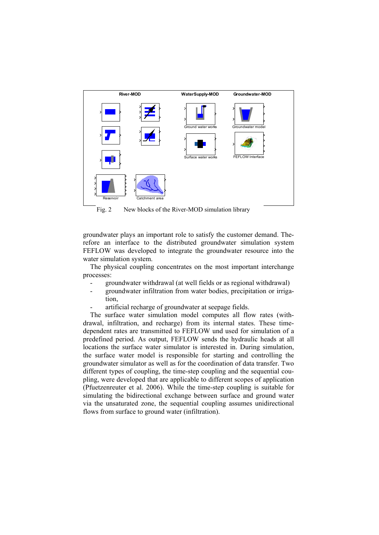

Fig. 2 New blocks of the River-MOD simulation library

groundwater plays an important role to satisfy the customer demand. Therefore an interface to the distributed groundwater simulation system FEFLOW was developed to integrate the groundwater resource into the water simulation system.

The physical coupling concentrates on the most important interchange processes:

- groundwater withdrawal (at well fields or as regional withdrawal)
- groundwater infiltration from water bodies, precipitation or irrigation
- artificial recharge of groundwater at seepage fields.

The surface water simulation model computes all flow rates (withdrawal, infiltration, and recharge) from its internal states. These timedependent rates are transmitted to FEFLOW und used for simulation of a predefined period. As output, FEFLOW sends the hydraulic heads at all locations the surface water simulator is interested in. During simulation, the surface water model is responsible for starting and controlling the groundwater simulator as well as for the coordination of data transfer. Two different types of coupling, the time-step coupling and the sequential coupling, were developed that are applicable to different scopes of application (Pfuetzenreuter et al. 2006). While the time-step coupling is suitable for simulating the bidirectional exchange between surface and ground water via the unsaturated zone, the sequential coupling assumes unidirectional flows from surface to ground water (infiltration).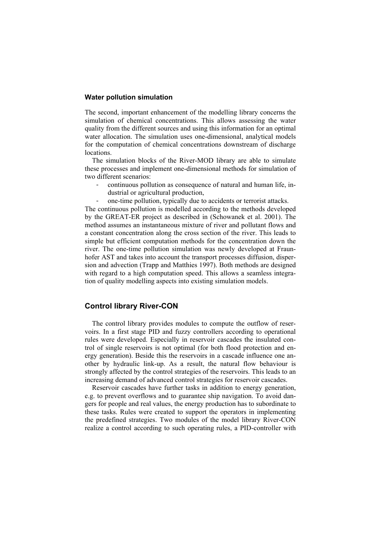#### **Water pollution simulation**

The second, important enhancement of the modelling library concerns the simulation of chemical concentrations. This allows assessing the water quality from the different sources and using this information for an optimal water allocation. The simulation uses one-dimensional, analytical models for the computation of chemical concentrations downstream of discharge locations.

The simulation blocks of the River-MOD library are able to simulate these processes and implement one-dimensional methods for simulation of two different scenarios:

- continuous pollution as consequence of natural and human life, industrial or agricultural production,
- one-time pollution, typically due to accidents or terrorist attacks.

The continuous pollution is modelled according to the methods developed by the GREAT-ER project as described in (Schowanek et al. 2001). The method assumes an instantaneous mixture of river and pollutant flows and a constant concentration along the cross section of the river. This leads to simple but efficient computation methods for the concentration down the river. The one-time pollution simulation was newly developed at Fraunhofer AST and takes into account the transport processes diffusion, dispersion and advection (Trapp and Matthies 1997). Both methods are designed with regard to a high computation speed. This allows a seamless integration of quality modelling aspects into existing simulation models.

#### **Control library River-CON**

The control library provides modules to compute the outflow of reservoirs. In a first stage PID and fuzzy controllers according to operational rules were developed. Especially in reservoir cascades the insulated control of single reservoirs is not optimal (for both flood protection and energy generation). Beside this the reservoirs in a cascade influence one another by hydraulic link-up. As a result, the natural flow behaviour is strongly affected by the control strategies of the reservoirs. This leads to an increasing demand of advanced control strategies for reservoir cascades.

Reservoir cascades have further tasks in addition to energy generation, e.g. to prevent overflows and to guarantee ship navigation. To avoid dangers for people and real values, the energy production has to subordinate to these tasks. Rules were created to support the operators in implementing the predefined strategies. Two modules of the model library River-CON realize a control according to such operating rules, a PID-controller with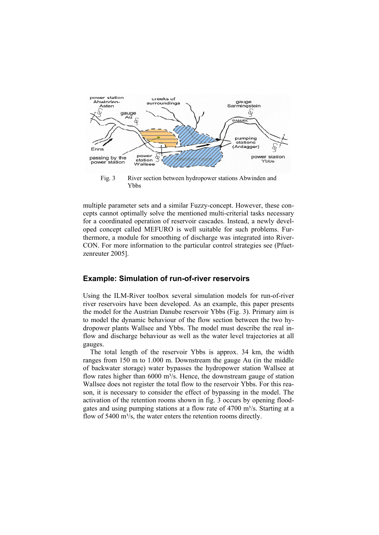

Ybbs

multiple parameter sets and a similar Fuzzy-concept. However, these concepts cannot optimally solve the mentioned multi-criterial tasks necessary for a coordinated operation of reservoir cascades. Instead, a newly developed concept called MEFURO is well suitable for such problems. Furthermore, a module for smoothing of discharge was integrated into River-CON. For more information to the particular control strategies see (Pfuetzenreuter 2005].

#### **Example: Simulation of run-of-river reservoirs**

Using the ILM-River toolbox several simulation models for run-of-river river reservoirs have been developed. As an example, this paper presents the model for the Austrian Danube reservoir Ybbs (Fig. 3). Primary aim is to model the dynamic behaviour of the flow section between the two hydropower plants Wallsee and Ybbs. The model must describe the real inflow and discharge behaviour as well as the water level trajectories at all gauges.

The total length of the reservoir Ybbs is approx. 34 km, the width ranges from 150 m to 1.000 m. Downstream the gauge Au (in the middle of backwater storage) water bypasses the hydropower station Wallsee at flow rates higher than  $6000 \text{ m}^3$ /s. Hence, the downstream gauge of station Wallsee does not register the total flow to the reservoir Ybbs. For this reason, it is necessary to consider the effect of bypassing in the model. The activation of the retention rooms shown in fig. 3 occurs by opening floodgates and using pumping stations at a flow rate of  $4700 \text{ m}^3$ /s. Starting at a flow of 5400 m<sup>3</sup>/s, the water enters the retention rooms directly.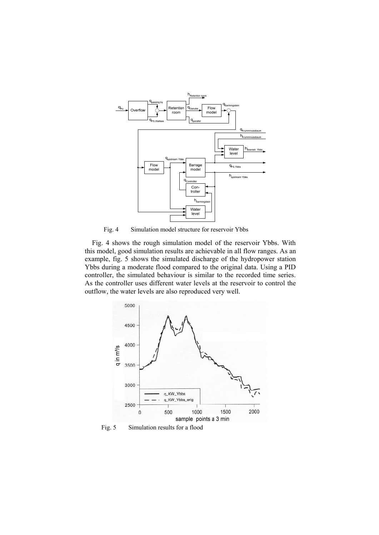

Fig. 4 Simulation model structure for reservoir Ybbs

Fig. 4 shows the rough simulation model of the reservoir Ybbs. With this model, good simulation results are achievable in all flow ranges. As an example, fig. 5 shows the simulated discharge of the hydropower station Ybbs during a moderate flood compared to the original data. Using a PID controller, the simulated behaviour is similar to the recorded time series. As the controller uses different water levels at the reservoir to control the outflow, the water levels are also reproduced very well.



Fig. 5 Simulation results for a flood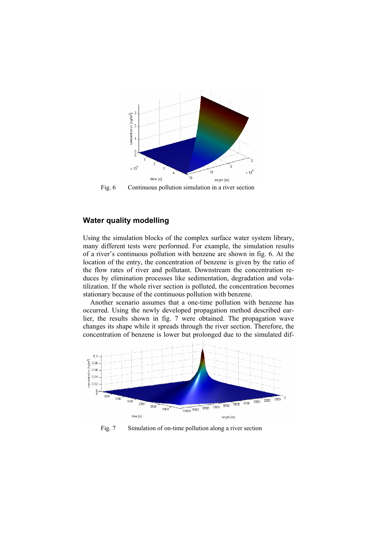

Fig. 6 Continuous pollution simulation in a river section

# **Water quality modelling**

Using the simulation blocks of the complex surface water system library, many different tests were performed. For example, the simulation results of a river's continuous pollution with benzene are shown in fig. 6. At the location of the entry, the concentration of benzene is given by the ratio of the flow rates of river and pollutant. Downstream the concentration reduces by elimination processes like sedimentation, degradation and volatilization. If the whole river section is polluted, the concentration becomes stationary because of the continuous pollution with benzene.

Another scenario assumes that a one-time pollution with benzene has occurred. Using the newly developed propagation method described earlier, the results shown in fig. 7 were obtained. The propagation wave changes its shape while it spreads through the river section. Therefore, the concentration of benzene is lower but prolonged due to the simulated dif-



Fig. 7 Simulation of on-time pollution along a river section